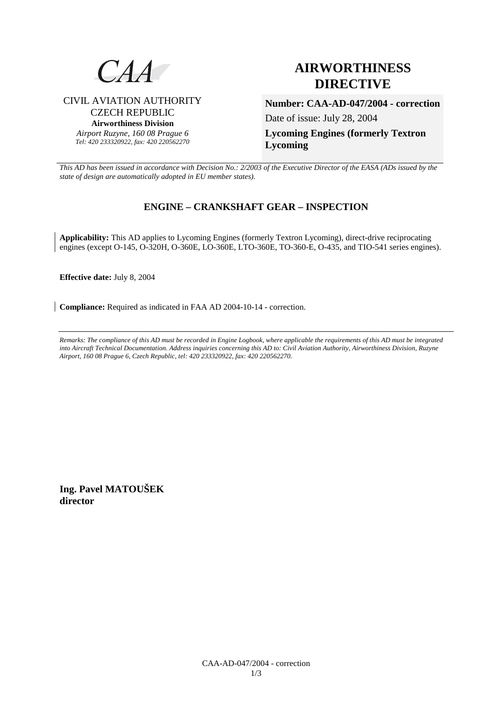

CIVIL AVIATION AUTHORITY CZECH REPUBLIC **Airworthiness Division**  *Airport Ruzyne, 160 08 Prague 6 Tel: 420 233320922, fax: 420 220562270*

# **AIRWORTHINESS DIRECTIVE**

**Number: CAA-AD-047/2004 - correction**

Date of issue: July 28, 2004

**Lycoming Engines (formerly Textron Lycoming** 

*This AD has been issued in accordance with Decision No.: 2/2003 of the Executive Director of the EASA (ADs issued by the state of design are automatically adopted in EU member states).*

# **ENGINE – CRANKSHAFT GEAR – INSPECTION**

**Applicability:** This AD applies to Lycoming Engines (formerly Textron Lycoming), direct-drive reciprocating engines (except O-145, O-320H, O-360E, LO-360E, LTO-360E, TO-360-E, O-435, and TIO-541 series engines).

**Effective date:** July 8, 2004

**Compliance:** Required as indicated in FAA AD 2004-10-14 - correction.

*Remarks: The compliance of this AD must be recorded in Engine Logbook, where applicable the requirements of this AD must be integrated into Aircraft Technical Documentation. Address inquiries concerning this AD to: Civil Aviation Authority, Airworthiness Division, Ruzyne Airport, 160 08 Prague 6, Czech Republic, tel: 420 233320922, fax: 420 220562270.* 

**Ing. Pavel MATOUŠEK director**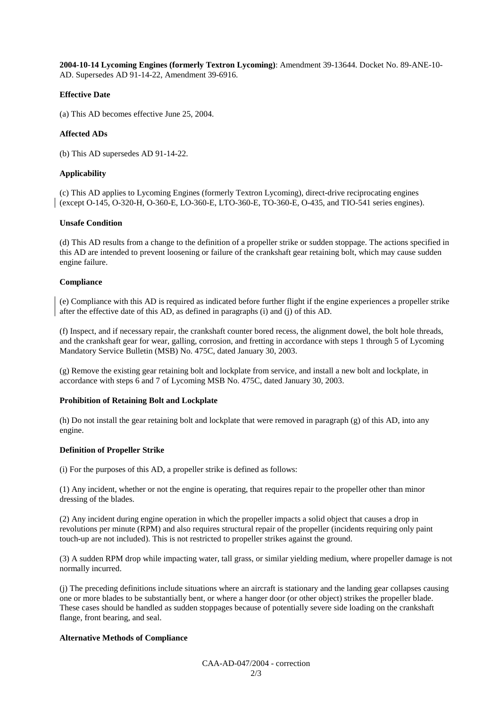**2004-10-14 Lycoming Engines (formerly Textron Lycoming)**: Amendment 39-13644. Docket No. 89-ANE-10- AD. Supersedes AD 91-14-22, Amendment 39-6916.

#### **Effective Date**

(a) This AD becomes effective June 25, 2004.

## **Affected ADs**

(b) This AD supersedes AD 91-14-22.

### **Applicability**

(c) This AD applies to Lycoming Engines (formerly Textron Lycoming), direct-drive reciprocating engines (except O-145, O-320-H, O-360-E, LO-360-E, LTO-360-E, TO-360-E, O-435, and TIO-541 series engines).

#### **Unsafe Condition**

(d) This AD results from a change to the definition of a propeller strike or sudden stoppage. The actions specified in this AD are intended to prevent loosening or failure of the crankshaft gear retaining bolt, which may cause sudden engine failure.

#### **Compliance**

(e) Compliance with this AD is required as indicated before further flight if the engine experiences a propeller strike after the effective date of this AD, as defined in paragraphs (i) and (j) of this AD.

(f) Inspect, and if necessary repair, the crankshaft counter bored recess, the alignment dowel, the bolt hole threads, and the crankshaft gear for wear, galling, corrosion, and fretting in accordance with steps 1 through 5 of Lycoming Mandatory Service Bulletin (MSB) No. 475C, dated January 30, 2003.

(g) Remove the existing gear retaining bolt and lockplate from service, and install a new bolt and lockplate, in accordance with steps 6 and 7 of Lycoming MSB No. 475C, dated January 30, 2003.

#### **Prohibition of Retaining Bolt and Lockplate**

(h) Do not install the gear retaining bolt and lockplate that were removed in paragraph (g) of this AD, into any engine.

#### **Definition of Propeller Strike**

(i) For the purposes of this AD, a propeller strike is defined as follows:

(1) Any incident, whether or not the engine is operating, that requires repair to the propeller other than minor dressing of the blades.

(2) Any incident during engine operation in which the propeller impacts a solid object that causes a drop in revolutions per minute (RPM) and also requires structural repair of the propeller (incidents requiring only paint touch-up are not included). This is not restricted to propeller strikes against the ground.

(3) A sudden RPM drop while impacting water, tall grass, or similar yielding medium, where propeller damage is not normally incurred.

(j) The preceding definitions include situations where an aircraft is stationary and the landing gear collapses causing one or more blades to be substantially bent, or where a hanger door (or other object) strikes the propeller blade. These cases should be handled as sudden stoppages because of potentially severe side loading on the crankshaft flange, front bearing, and seal.

#### **Alternative Methods of Compliance**